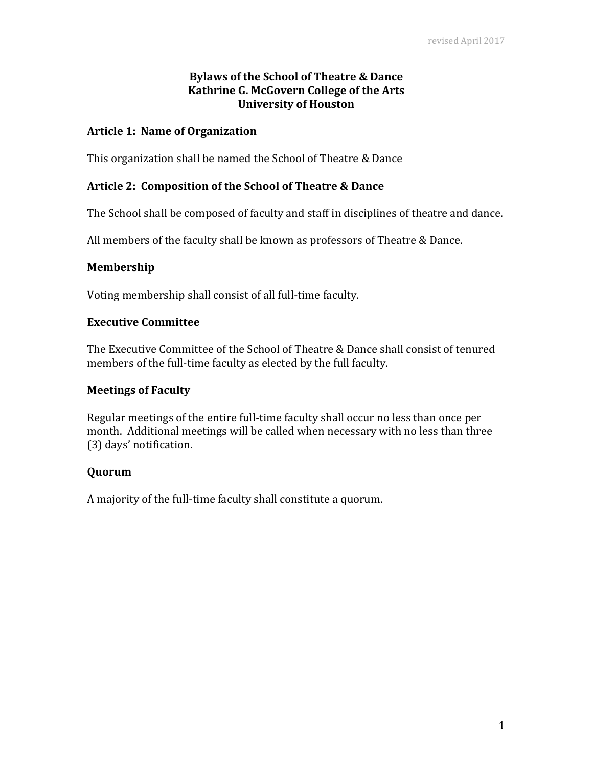# **Bylaws of the School of Theatre & Dance Kathrine G. McGovern College of the Arts University of Houston**

#### **Article 1: Name of Organization**

This organization shall be named the School of Theatre & Dance

## **Article 2: Composition of the School of Theatre & Dance**

The School shall be composed of faculty and staff in disciplines of theatre and dance.

All members of the faculty shall be known as professors of Theatre & Dance.

#### **Membership**

Voting membership shall consist of all full-time faculty.

## **Executive Committee**

The Executive Committee of the School of Theatre & Dance shall consist of tenured members of the full-time faculty as elected by the full faculty.

#### **Meetings of Faculty**

Regular meetings of the entire full-time faculty shall occur no less than once per month. Additional meetings will be called when necessary with no less than three (3) days' notification.

## **Quorum**

A majority of the full-time faculty shall constitute a quorum.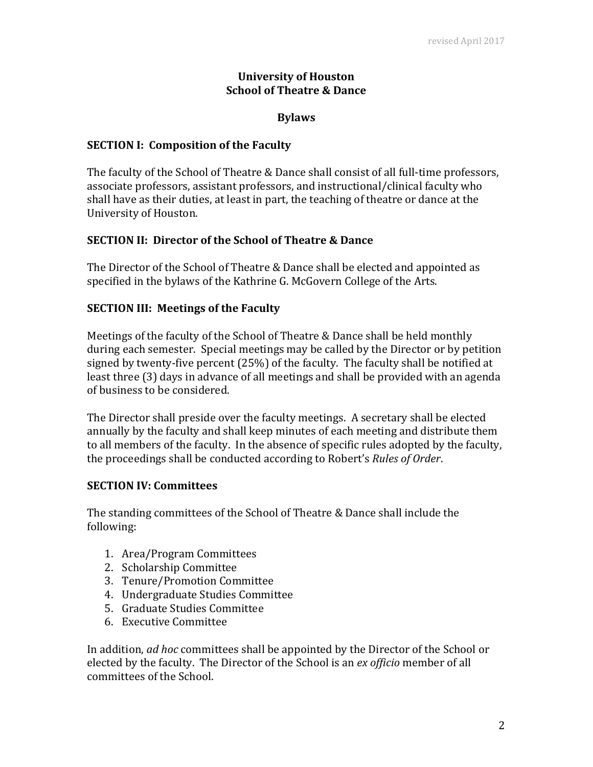# **University of Houston School of Theatre & Dance**

## **Bylaws**

#### **SECTION I: Composition of the Faculty**

The faculty of the School of Theatre & Dance shall consist of all full-time professors, associate professors, assistant professors, and instructional/clinical faculty who shall have as their duties, at least in part, the teaching of theatre or dance at the University of Houston.

## **SECTION II: Director of the School of Theatre & Dance**

The Director of the School of Theatre & Dance shall be elected and appointed as specified in the bylaws of the Kathrine G. McGovern College of the Arts.

## **SECTION III: Meetings of the Faculty**

Meetings of the faculty of the School of Theatre & Dance shall be held monthly during each semester. Special meetings may be called by the Director or by petition signed by twenty-five percent (25%) of the faculty. The faculty shall be notified at least three (3) days in advance of all meetings and shall be provided with an agenda of business to be considered.

The Director shall preside over the faculty meetings. A secretary shall be elected annually by the faculty and shall keep minutes of each meeting and distribute them to all members of the faculty. In the absence of specific rules adopted by the faculty, the proceedings shall be conducted according to Robert's *Rules of Order*.

## **SECTION IV: Committees**

The standing committees of the School of Theatre & Dance shall include the following:

- 1. Area/Program Committees
- 2. Scholarship Committee
- 3. Tenure/Promotion Committee
- 4. Undergraduate Studies Committee
- 5. Graduate Studies Committee
- 6. Executive Committee

In addition, *ad hoc* committees shall be appointed by the Director of the School or elected by the faculty. The Director of the School is an *ex officio* member of all committees of the School.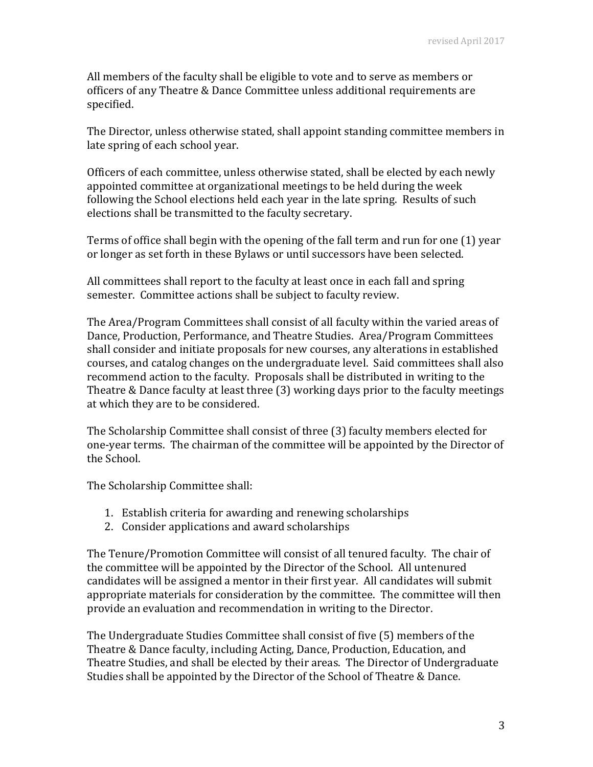All members of the faculty shall be eligible to vote and to serve as members or officers of any Theatre & Dance Committee unless additional requirements are specified.

The Director, unless otherwise stated, shall appoint standing committee members in late spring of each school year.

Officers of each committee, unless otherwise stated, shall be elected by each newly appointed committee at organizational meetings to be held during the week following the School elections held each year in the late spring. Results of such elections shall be transmitted to the faculty secretary.

Terms of office shall begin with the opening of the fall term and run for one (1) year or longer as set forth in these Bylaws or until successors have been selected.

All committees shall report to the faculty at least once in each fall and spring semester. Committee actions shall be subject to faculty review.

The Area/Program Committees shall consist of all faculty within the varied areas of Dance, Production, Performance, and Theatre Studies. Area/Program Committees shall consider and initiate proposals for new courses, any alterations in established courses, and catalog changes on the undergraduate level. Said committees shall also recommend action to the faculty. Proposals shall be distributed in writing to the Theatre & Dance faculty at least three (3) working days prior to the faculty meetings at which they are to be considered.

The Scholarship Committee shall consist of three (3) faculty members elected for one-year terms. The chairman of the committee will be appointed by the Director of the School.

The Scholarship Committee shall:

- 1. Establish criteria for awarding and renewing scholarships
- 2. Consider applications and award scholarships

The Tenure/Promotion Committee will consist of all tenured faculty. The chair of the committee will be appointed by the Director of the School. All untenured candidates will be assigned a mentor in their first year. All candidates will submit appropriate materials for consideration by the committee. The committee will then provide an evaluation and recommendation in writing to the Director.

The Undergraduate Studies Committee shall consist of five (5) members of the Theatre & Dance faculty, including Acting, Dance, Production, Education, and Theatre Studies, and shall be elected by their areas. The Director of Undergraduate Studies shall be appointed by the Director of the School of Theatre & Dance.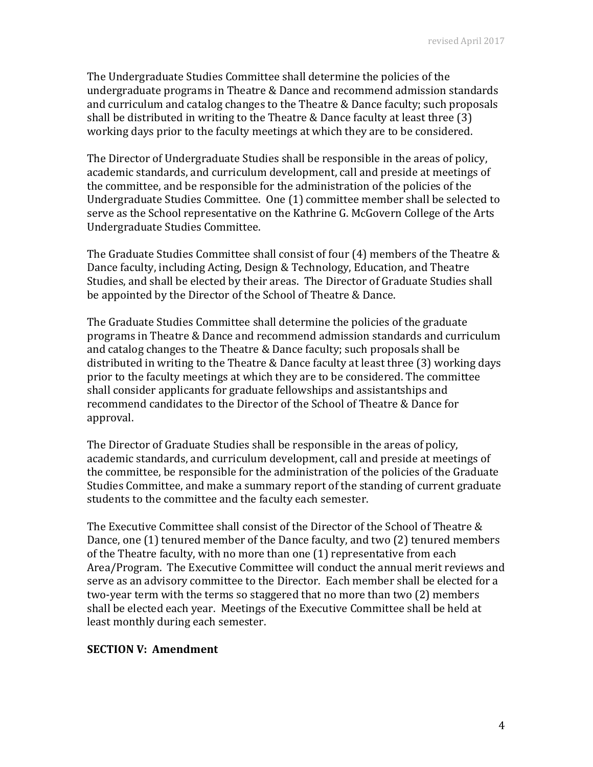The Undergraduate Studies Committee shall determine the policies of the undergraduate programs in Theatre & Dance and recommend admission standards and curriculum and catalog changes to the Theatre & Dance faculty; such proposals shall be distributed in writing to the Theatre & Dance faculty at least three (3) working days prior to the faculty meetings at which they are to be considered.

The Director of Undergraduate Studies shall be responsible in the areas of policy, academic standards, and curriculum development, call and preside at meetings of the committee, and be responsible for the administration of the policies of the Undergraduate Studies Committee. One (1) committee member shall be selected to serve as the School representative on the Kathrine G. McGovern College of the Arts Undergraduate Studies Committee.

The Graduate Studies Committee shall consist of four (4) members of the Theatre & Dance faculty, including Acting, Design & Technology, Education, and Theatre Studies, and shall be elected by their areas. The Director of Graduate Studies shall be appointed by the Director of the School of Theatre & Dance.

The Graduate Studies Committee shall determine the policies of the graduate programs in Theatre & Dance and recommend admission standards and curriculum and catalog changes to the Theatre & Dance faculty; such proposals shall be distributed in writing to the Theatre & Dance faculty at least three (3) working days prior to the faculty meetings at which they are to be considered. The committee shall consider applicants for graduate fellowships and assistantships and recommend candidates to the Director of the School of Theatre & Dance for approval.

The Director of Graduate Studies shall be responsible in the areas of policy, academic standards, and curriculum development, call and preside at meetings of the committee, be responsible for the administration of the policies of the Graduate Studies Committee, and make a summary report of the standing of current graduate students to the committee and the faculty each semester.

The Executive Committee shall consist of the Director of the School of Theatre & Dance, one (1) tenured member of the Dance faculty, and two (2) tenured members of the Theatre faculty, with no more than one (1) representative from each Area/Program. The Executive Committee will conduct the annual merit reviews and serve as an advisory committee to the Director. Each member shall be elected for a two-year term with the terms so staggered that no more than two (2) members shall be elected each year. Meetings of the Executive Committee shall be held at least monthly during each semester.

## **SECTION V: Amendment**